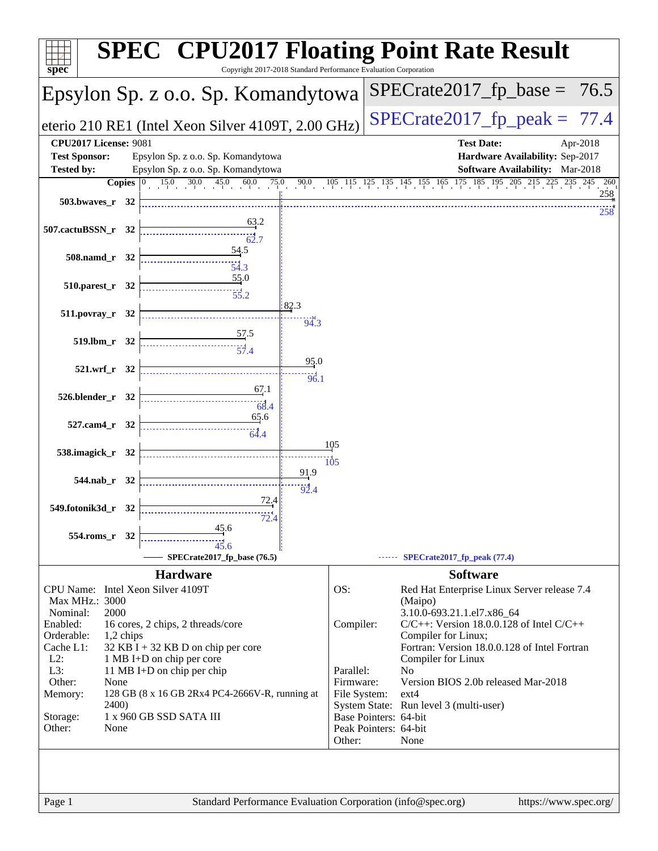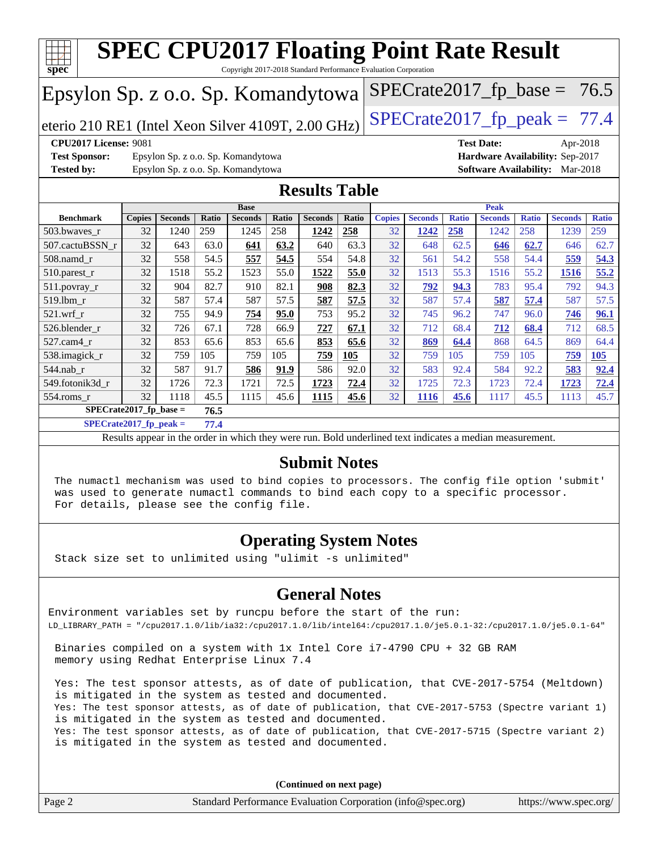

**[SPECrate2017\\_fp\\_peak =](http://www.spec.org/auto/cpu2017/Docs/result-fields.html#SPECrate2017fppeak) 77.4**

Results appear in the [order in which they were run.](http://www.spec.org/auto/cpu2017/Docs/result-fields.html#RunOrder) Bold underlined text [indicates a median measurement.](http://www.spec.org/auto/cpu2017/Docs/result-fields.html#Median)

### **[Submit Notes](http://www.spec.org/auto/cpu2017/Docs/result-fields.html#SubmitNotes)**

 The numactl mechanism was used to bind copies to processors. The config file option 'submit' was used to generate numactl commands to bind each copy to a specific processor. For details, please see the config file.

### **[Operating System Notes](http://www.spec.org/auto/cpu2017/Docs/result-fields.html#OperatingSystemNotes)**

Stack size set to unlimited using "ulimit -s unlimited"

### **[General Notes](http://www.spec.org/auto/cpu2017/Docs/result-fields.html#GeneralNotes)**

Environment variables set by runcpu before the start of the run: LD\_LIBRARY\_PATH = "/cpu2017.1.0/lib/ia32:/cpu2017.1.0/lib/intel64:/cpu2017.1.0/je5.0.1-32:/cpu2017.1.0/je5.0.1-64"

 Binaries compiled on a system with 1x Intel Core i7-4790 CPU + 32 GB RAM memory using Redhat Enterprise Linux 7.4

 Yes: The test sponsor attests, as of date of publication, that CVE-2017-5754 (Meltdown) is mitigated in the system as tested and documented. Yes: The test sponsor attests, as of date of publication, that CVE-2017-5753 (Spectre variant 1) is mitigated in the system as tested and documented. Yes: The test sponsor attests, as of date of publication, that CVE-2017-5715 (Spectre variant 2) is mitigated in the system as tested and documented.

**(Continued on next page)**

| Page 2<br>Standard Performance Evaluation Corporation (info@spec.org) | https://www.spec.org/ |
|-----------------------------------------------------------------------|-----------------------|
|-----------------------------------------------------------------------|-----------------------|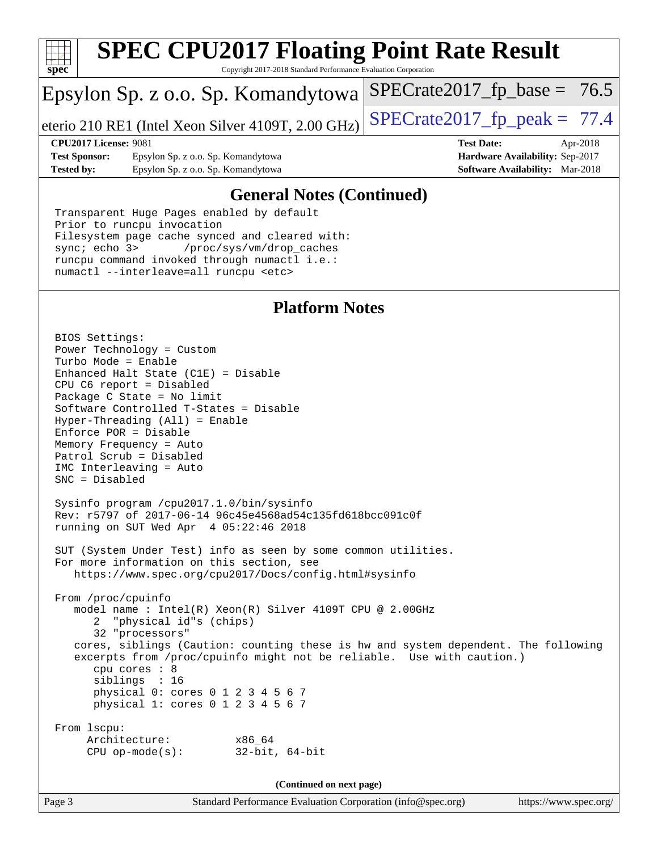

# **[SPEC CPU2017 Floating Point Rate Result](http://www.spec.org/auto/cpu2017/Docs/result-fields.html#SPECCPU2017FloatingPointRateResult)**

Copyright 2017-2018 Standard Performance Evaluation Corporation

# Epsylon Sp. z o.o. Sp. Komandytowa

eterio 210 RE1 (Intel Xeon Silver 4109T, 2.00 GHz)  $\left|$  SPECrate 2017  $\right|$  fp peak = 77.4

 $SPECTate2017_fp\_base = 76.5$ 

**[Test Sponsor:](http://www.spec.org/auto/cpu2017/Docs/result-fields.html#TestSponsor)** Epsylon Sp. z o.o. Sp. Komandytowa **[Hardware Availability:](http://www.spec.org/auto/cpu2017/Docs/result-fields.html#HardwareAvailability)** Sep-2017 **[Tested by:](http://www.spec.org/auto/cpu2017/Docs/result-fields.html#Testedby)** Epsylon Sp. z o.o. Sp. Komandytowa **[Software Availability:](http://www.spec.org/auto/cpu2017/Docs/result-fields.html#SoftwareAvailability)** Mar-2018

**[CPU2017 License:](http://www.spec.org/auto/cpu2017/Docs/result-fields.html#CPU2017License)** 9081 **[Test Date:](http://www.spec.org/auto/cpu2017/Docs/result-fields.html#TestDate)** Apr-2018

### **[General Notes \(Continued\)](http://www.spec.org/auto/cpu2017/Docs/result-fields.html#GeneralNotes)**

 Transparent Huge Pages enabled by default Prior to runcpu invocation Filesystem page cache synced and cleared with: sync; echo 3> /proc/sys/vm/drop\_caches runcpu command invoked through numactl i.e.: numactl --interleave=all runcpu <etc>

### **[Platform Notes](http://www.spec.org/auto/cpu2017/Docs/result-fields.html#PlatformNotes)**

 BIOS Settings: Power Technology = Custom Turbo Mode = Enable Enhanced Halt State (C1E) = Disable CPU C6 report = Disabled Package C State = No limit Software Controlled T-States = Disable Hyper-Threading (All) = Enable Enforce POR = Disable Memory Frequency = Auto Patrol Scrub = Disabled IMC Interleaving = Auto SNC = Disabled Sysinfo program /cpu2017.1.0/bin/sysinfo Rev: r5797 of 2017-06-14 96c45e4568ad54c135fd618bcc091c0f running on SUT Wed Apr 4 05:22:46 2018 SUT (System Under Test) info as seen by some common utilities. For more information on this section, see <https://www.spec.org/cpu2017/Docs/config.html#sysinfo> From /proc/cpuinfo model name : Intel(R) Xeon(R) Silver 4109T CPU @ 2.00GHz 2 "physical id"s (chips) 32 "processors" cores, siblings (Caution: counting these is hw and system dependent. The following excerpts from /proc/cpuinfo might not be reliable. Use with caution.) cpu cores : 8 siblings : 16 physical 0: cores 0 1 2 3 4 5 6 7 physical 1: cores 0 1 2 3 4 5 6 7 From lscpu: Architecture: x86\_64 CPU op-mode(s): 32-bit, 64-bit

**(Continued on next page)**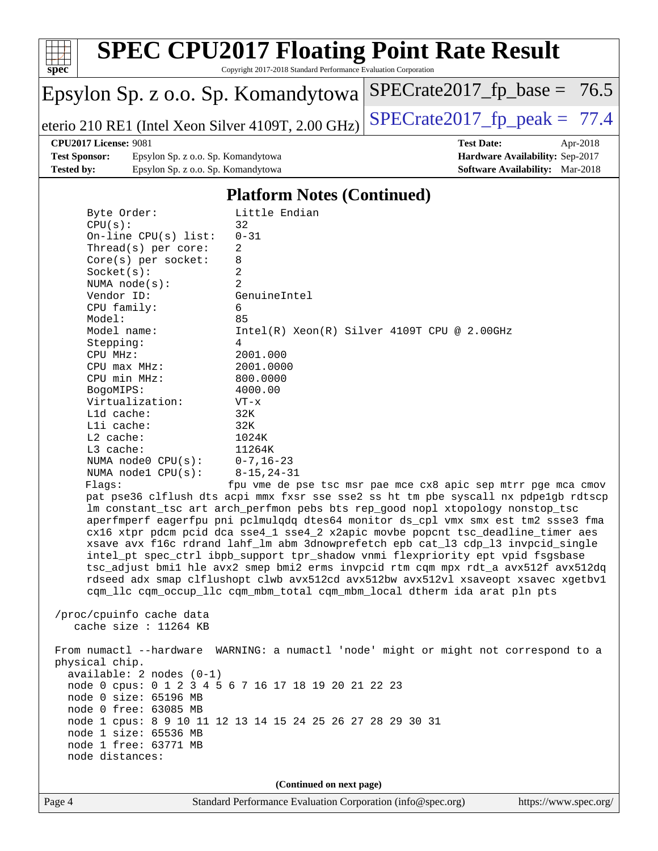

# **[SPEC CPU2017 Floating Point Rate Result](http://www.spec.org/auto/cpu2017/Docs/result-fields.html#SPECCPU2017FloatingPointRateResult)**

Copyright 2017-2018 Standard Performance Evaluation Corporation

# Epsylon Sp. z o.o. Sp. Komandytowa

eterio 210 RE1 (Intel Xeon Silver 4109T, 2.00 GHz) SPECrate  $2017$  fp peak = 77.4

 $SPECrate2017_fp\_base = 76.5$ 

### **[CPU2017 License:](http://www.spec.org/auto/cpu2017/Docs/result-fields.html#CPU2017License)** 9081 **[Test Date:](http://www.spec.org/auto/cpu2017/Docs/result-fields.html#TestDate)** Apr-2018

**[Test Sponsor:](http://www.spec.org/auto/cpu2017/Docs/result-fields.html#TestSponsor)** Epsylon Sp. z o.o. Sp. Komandytowa **[Hardware Availability:](http://www.spec.org/auto/cpu2017/Docs/result-fields.html#HardwareAvailability)** Sep-2017 **[Tested by:](http://www.spec.org/auto/cpu2017/Docs/result-fields.html#Testedby)** Epsylon Sp. z o.o. Sp. Komandytowa **[Software Availability:](http://www.spec.org/auto/cpu2017/Docs/result-fields.html#SoftwareAvailability)** Mar-2018

### **[Platform Notes \(Continued\)](http://www.spec.org/auto/cpu2017/Docs/result-fields.html#PlatformNotes)**

| Page 4 |                                                                                                                                                                                                                                                                                                                                                                                                                                                                                                     | Standard Performance Evaluation Corporation (info@spec.org)                                                                                                                                                                                                                                                                                                                                                                                                                                                                                                                                                                                                                                                                                                                                                                                                                                                                                                                                                                                              | https://www.spec.org |
|--------|-----------------------------------------------------------------------------------------------------------------------------------------------------------------------------------------------------------------------------------------------------------------------------------------------------------------------------------------------------------------------------------------------------------------------------------------------------------------------------------------------------|----------------------------------------------------------------------------------------------------------------------------------------------------------------------------------------------------------------------------------------------------------------------------------------------------------------------------------------------------------------------------------------------------------------------------------------------------------------------------------------------------------------------------------------------------------------------------------------------------------------------------------------------------------------------------------------------------------------------------------------------------------------------------------------------------------------------------------------------------------------------------------------------------------------------------------------------------------------------------------------------------------------------------------------------------------|----------------------|
|        |                                                                                                                                                                                                                                                                                                                                                                                                                                                                                                     | (Continued on next page)                                                                                                                                                                                                                                                                                                                                                                                                                                                                                                                                                                                                                                                                                                                                                                                                                                                                                                                                                                                                                                 |                      |
|        | physical chip.<br>$available: 2 nodes (0-1)$<br>node 0 cpus: 0 1 2 3 4 5 6 7 16 17 18 19 20 21 22 23<br>node 0 size: 65196 MB<br>node 0 free: 63085 MB<br>node 1 size: 65536 MB<br>node 1 free: 63771 MB<br>node distances:                                                                                                                                                                                                                                                                         | node 1 cpus: 8 9 10 11 12 13 14 15 24 25 26 27 28 29 30 31                                                                                                                                                                                                                                                                                                                                                                                                                                                                                                                                                                                                                                                                                                                                                                                                                                                                                                                                                                                               |                      |
|        | /proc/cpuinfo cache data<br>cache size : 11264 KB                                                                                                                                                                                                                                                                                                                                                                                                                                                   | From numactl --hardware WARNING: a numactl 'node' might or might not correspond to a                                                                                                                                                                                                                                                                                                                                                                                                                                                                                                                                                                                                                                                                                                                                                                                                                                                                                                                                                                     |                      |
|        | Byte Order:<br>32<br>CPU(s):<br>$0 - 31$<br>On-line $CPU(s)$ list:<br>Thread( $s$ ) per core:<br>2<br>8<br>$Core(s)$ per socket:<br>2<br>Socket(s):<br>$\overline{a}$<br>NUMA $node(s):$<br>Vendor ID:<br>CPU family:<br>6<br>Model:<br>85<br>Model name:<br>Stepping:<br>4<br>CPU MHz:<br>$CPU$ $max$ $MHz$ :<br>CPU min MHz:<br>BogoMIPS:<br>Virtualization:<br>Lld cache:<br>32K<br>Lli cache:<br>32K<br>$L2$ cache:<br>$L3$ cache:<br>NUMA $node0$ $CPU(s)$ :<br>NUMA nodel $CPU(s):$<br>Flags: | Little Endian<br>GenuineIntel<br>$Intel(R) Xeon(R) Silver 4109T CPU @ 2.00GHz$<br>2001.000<br>2001.0000<br>800.0000<br>4000.00<br>$VT - x$<br>1024K<br>11264K<br>$0 - 7$ , 16 – 23<br>$8 - 15, 24 - 31$<br>fpu vme de pse tsc msr pae mce cx8 apic sep mtrr pge mca cmov<br>pat pse36 clflush dts acpi mmx fxsr sse sse2 ss ht tm pbe syscall nx pdpelgb rdtscp<br>lm constant_tsc art arch_perfmon pebs bts rep_good nopl xtopology nonstop_tsc<br>aperfmperf eagerfpu pni pclmulqdq dtes64 monitor ds_cpl vmx smx est tm2 ssse3 fma<br>cx16 xtpr pdcm pcid dca sse4_1 sse4_2 x2apic movbe popcnt tsc_deadline_timer aes<br>xsave avx f16c rdrand lahf_lm abm 3dnowprefetch epb cat_13 cdp_13 invpcid_single<br>intel_pt spec_ctrl ibpb_support tpr_shadow vnmi flexpriority ept vpid fsgsbase<br>tsc_adjust bmil hle avx2 smep bmi2 erms invpcid rtm cqm mpx rdt_a avx512f avx512dq<br>rdseed adx smap clflushopt clwb avx512cd avx512bw avx512vl xsaveopt xsavec xgetbvl<br>cqm_llc cqm_occup_llc cqm_mbm_total cqm_mbm_local dtherm ida arat pln pts |                      |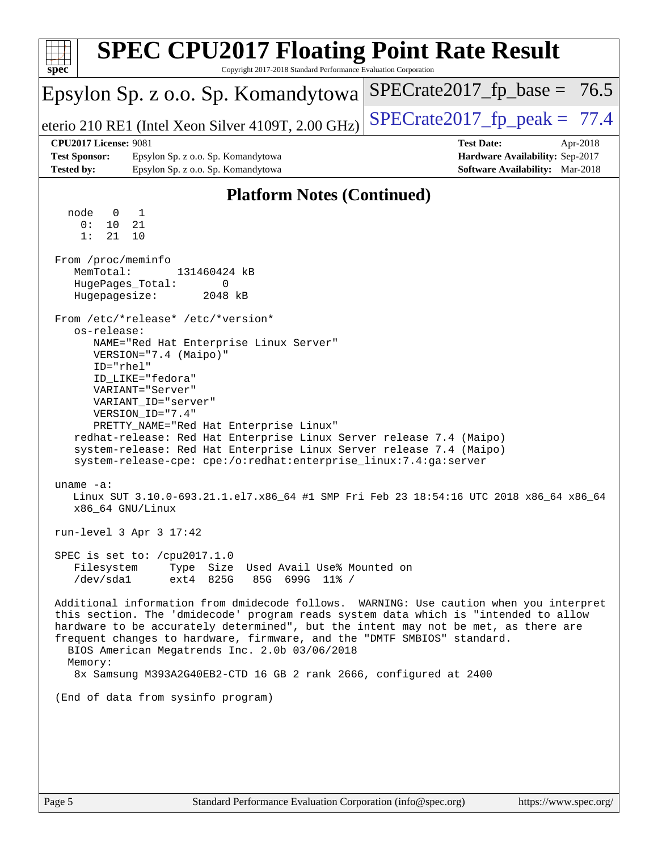| <b>SPEC CPU2017 Floating Point Rate Result</b>                                                                                                                                                                                                                                                                                                                                                                                                                                                                                                                                                                                                                                                                                                                                                                                                                                                                                                                                                                                                                                                                                                                                                                                                                                                                                                                                                                                                                                       |                                                                                                            |
|--------------------------------------------------------------------------------------------------------------------------------------------------------------------------------------------------------------------------------------------------------------------------------------------------------------------------------------------------------------------------------------------------------------------------------------------------------------------------------------------------------------------------------------------------------------------------------------------------------------------------------------------------------------------------------------------------------------------------------------------------------------------------------------------------------------------------------------------------------------------------------------------------------------------------------------------------------------------------------------------------------------------------------------------------------------------------------------------------------------------------------------------------------------------------------------------------------------------------------------------------------------------------------------------------------------------------------------------------------------------------------------------------------------------------------------------------------------------------------------|------------------------------------------------------------------------------------------------------------|
| spec<br>Copyright 2017-2018 Standard Performance Evaluation Corporation<br>Epsylon Sp. z o.o. Sp. Komandytowa                                                                                                                                                                                                                                                                                                                                                                                                                                                                                                                                                                                                                                                                                                                                                                                                                                                                                                                                                                                                                                                                                                                                                                                                                                                                                                                                                                        | $SPECrate2017_fp\_base = 76.5$                                                                             |
| eterio 210 RE1 (Intel Xeon Silver 4109T, 2.00 GHz)                                                                                                                                                                                                                                                                                                                                                                                                                                                                                                                                                                                                                                                                                                                                                                                                                                                                                                                                                                                                                                                                                                                                                                                                                                                                                                                                                                                                                                   | $SPECrate2017_fp\_peak = 77.4$                                                                             |
| <b>CPU2017 License: 9081</b><br><b>Test Sponsor:</b><br>Epsylon Sp. z o.o. Sp. Komandytowa<br><b>Tested by:</b><br>Epsylon Sp. z o.o. Sp. Komandytowa                                                                                                                                                                                                                                                                                                                                                                                                                                                                                                                                                                                                                                                                                                                                                                                                                                                                                                                                                                                                                                                                                                                                                                                                                                                                                                                                | <b>Test Date:</b><br>Apr-2018<br>Hardware Availability: Sep-2017<br><b>Software Availability:</b> Mar-2018 |
| <b>Platform Notes (Continued)</b>                                                                                                                                                                                                                                                                                                                                                                                                                                                                                                                                                                                                                                                                                                                                                                                                                                                                                                                                                                                                                                                                                                                                                                                                                                                                                                                                                                                                                                                    |                                                                                                            |
| 1<br>node<br>0<br>0:<br>10<br>21<br>1:<br>21<br>10<br>From /proc/meminfo<br>MemTotal:<br>131460424 kB<br>HugePages_Total:<br>0<br>Hugepagesize:<br>2048 kB<br>From /etc/*release* /etc/*version*<br>os-release:<br>NAME="Red Hat Enterprise Linux Server"<br>VERSION="7.4 (Maipo)"<br>ID="rhel"<br>ID_LIKE="fedora"<br>VARIANT="Server"<br>VARIANT ID="server"<br>VERSION_ID="7.4"<br>PRETTY_NAME="Red Hat Enterprise Linux"<br>redhat-release: Red Hat Enterprise Linux Server release 7.4 (Maipo)<br>system-release: Red Hat Enterprise Linux Server release 7.4 (Maipo)<br>system-release-cpe: cpe:/o:redhat:enterprise_linux:7.4:ga:server<br>uname $-a$ :<br>Linux SUT 3.10.0-693.21.1.el7.x86_64 #1 SMP Fri Feb 23 18:54:16 UTC 2018 x86_64 x86_64<br>x86_64 GNU/Linux<br>run-level 3 Apr 3 17:42<br>SPEC is set to: /cpu2017.1.0<br>Filesystem<br>Type Size Used Avail Use% Mounted on<br>$/\text{dev}/\text{sdal}$<br>$ext4$ 825G<br>85G 699G 11% /<br>Additional information from dmidecode follows. WARNING: Use caution when you interpret<br>this section. The 'dmidecode' program reads system data which is "intended to allow<br>hardware to be accurately determined", but the intent may not be met, as there are<br>frequent changes to hardware, firmware, and the "DMTF SMBIOS" standard.<br>BIOS American Megatrends Inc. 2.0b 03/06/2018<br>Memory:<br>8x Samsung M393A2G40EB2-CTD 16 GB 2 rank 2666, configured at 2400<br>(End of data from sysinfo program) |                                                                                                            |
|                                                                                                                                                                                                                                                                                                                                                                                                                                                                                                                                                                                                                                                                                                                                                                                                                                                                                                                                                                                                                                                                                                                                                                                                                                                                                                                                                                                                                                                                                      |                                                                                                            |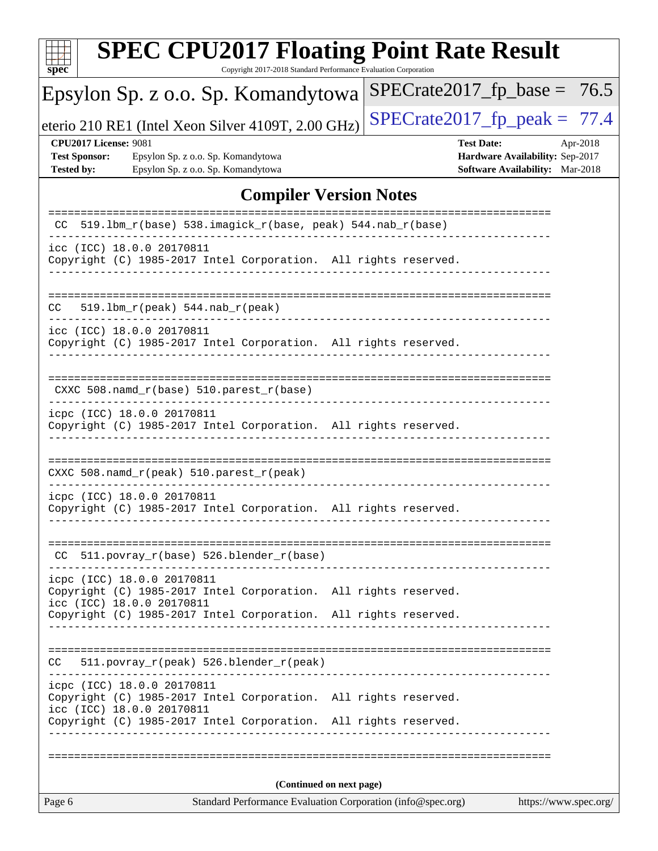| <b>SPEC CPU2017 Floating Point Rate Result</b><br>Copyright 2017-2018 Standard Performance Evaluation Corporation<br>$spec^*$                                                                 |                                                                                                     |  |
|-----------------------------------------------------------------------------------------------------------------------------------------------------------------------------------------------|-----------------------------------------------------------------------------------------------------|--|
| Epsylon Sp. z o.o. Sp. Komandytowa                                                                                                                                                            | $SPECrate2017_fp\_base = 76.5$                                                                      |  |
| eterio 210 RE1 (Intel Xeon Silver 4109T, 2.00 GHz)                                                                                                                                            | $SPECrate2017_fp\_peak = 77.4$                                                                      |  |
| <b>CPU2017 License: 9081</b><br><b>Test Sponsor:</b><br>Epsylon Sp. z o.o. Sp. Komandytowa<br><b>Tested by:</b><br>Epsylon Sp. z o.o. Sp. Komandytowa                                         | <b>Test Date:</b><br>Apr-2018<br>Hardware Availability: Sep-2017<br>Software Availability: Mar-2018 |  |
| <b>Compiler Version Notes</b>                                                                                                                                                                 |                                                                                                     |  |
| 519.1bm_r(base) 538.imagick_r(base, peak) 544.nab_r(base)                                                                                                                                     |                                                                                                     |  |
| icc (ICC) 18.0.0 20170811<br>Copyright (C) 1985-2017 Intel Corporation. All rights reserved.                                                                                                  |                                                                                                     |  |
| $519.1bm_r(peak) 544.nab_r(peak)$<br>CC.                                                                                                                                                      | -------------------------------------                                                               |  |
| icc (ICC) 18.0.0 20170811<br>Copyright (C) 1985-2017 Intel Corporation. All rights reserved.                                                                                                  |                                                                                                     |  |
| $CXXC 508.namd_r(base) 510.parest_r(base)$                                                                                                                                                    |                                                                                                     |  |
| icpc (ICC) 18.0.0 20170811<br>Copyright (C) 1985-2017 Intel Corporation. All rights reserved.                                                                                                 |                                                                                                     |  |
| CXXC 508.namd_r(peak) 510.parest_r(peak)                                                                                                                                                      |                                                                                                     |  |
| icpc (ICC) 18.0.0 20170811<br>Copyright (C) 1985-2017 Intel Corporation. All rights reserved.                                                                                                 |                                                                                                     |  |
| 511.povray_r(base) 526.blender_r(base)<br>CC.                                                                                                                                                 |                                                                                                     |  |
| icpc (ICC) 18.0.0 20170811<br>Copyright (C) 1985-2017 Intel Corporation. All rights reserved.<br>icc (ICC) 18.0.0 20170811<br>Copyright (C) 1985-2017 Intel Corporation. All rights reserved. |                                                                                                     |  |
| 511.povray_r(peak) 526.blender_r(peak)<br>CC.                                                                                                                                                 |                                                                                                     |  |
| icpc (ICC) 18.0.0 20170811<br>Copyright (C) 1985-2017 Intel Corporation. All rights reserved.<br>icc (ICC) 18.0.0 20170811<br>Copyright (C) 1985-2017 Intel Corporation. All rights reserved. |                                                                                                     |  |
|                                                                                                                                                                                               |                                                                                                     |  |
| (Continued on next page)                                                                                                                                                                      |                                                                                                     |  |
| Standard Performance Evaluation Corporation (info@spec.org)<br>Page 6                                                                                                                         | https://www.spec.org/                                                                               |  |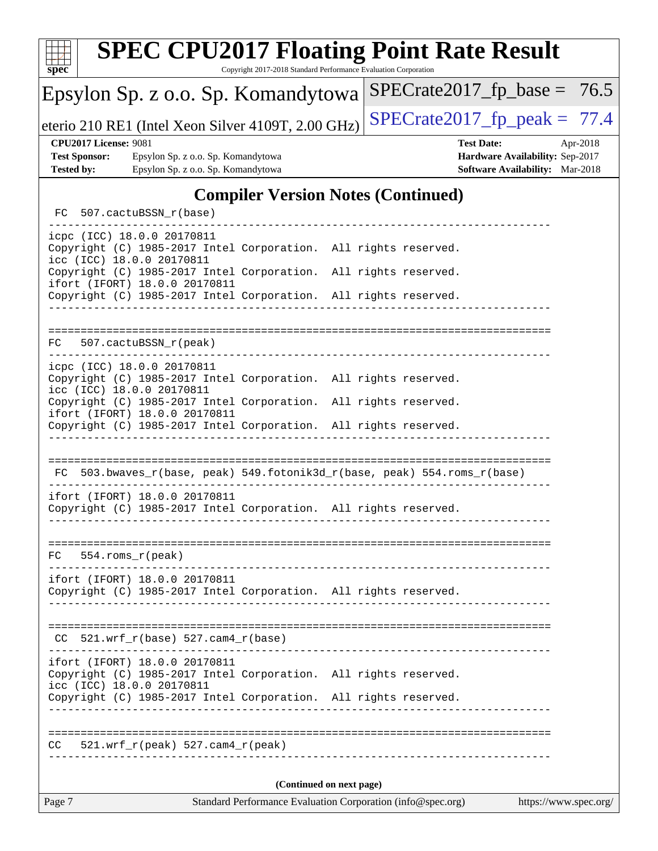| <b>SPEC CPU2017 Floating Point Rate Result</b><br>Copyright 2017-2018 Standard Performance Evaluation Corporation<br>$spec^*$                                       |                                                                                                            |  |
|---------------------------------------------------------------------------------------------------------------------------------------------------------------------|------------------------------------------------------------------------------------------------------------|--|
| Epsylon Sp. z o.o. Sp. Komandytowa                                                                                                                                  | $SPECrate2017_fp\_base = 76.5$                                                                             |  |
| eterio 210 RE1 (Intel Xeon Silver 4109T, 2.00 GHz)                                                                                                                  | $SPECrate2017_fp\_peak = 77.4$                                                                             |  |
| <b>CPU2017 License: 9081</b><br><b>Test Sponsor:</b><br>Epsylon Sp. z o.o. Sp. Komandytowa<br><b>Tested by:</b><br>Epsylon Sp. z o.o. Sp. Komandytowa               | <b>Test Date:</b><br>Apr-2018<br>Hardware Availability: Sep-2017<br><b>Software Availability:</b> Mar-2018 |  |
| <b>Compiler Version Notes (Continued)</b>                                                                                                                           |                                                                                                            |  |
| 507.cactuBSSN_r(base)<br>FC.                                                                                                                                        |                                                                                                            |  |
| icpc (ICC) 18.0.0 20170811<br>Copyright (C) 1985-2017 Intel Corporation. All rights reserved.<br>icc (ICC) 18.0.0 20170811                                          |                                                                                                            |  |
| Copyright (C) 1985-2017 Intel Corporation. All rights reserved.<br>ifort (IFORT) 18.0.0 20170811<br>Copyright (C) 1985-2017 Intel Corporation. All rights reserved. |                                                                                                            |  |
| 507.cactuBSSN_r(peak)<br>FC.                                                                                                                                        |                                                                                                            |  |
| icpc (ICC) 18.0.0 20170811<br>Copyright (C) 1985-2017 Intel Corporation. All rights reserved.<br>icc (ICC) 18.0.0 20170811                                          |                                                                                                            |  |
| Copyright (C) 1985-2017 Intel Corporation. All rights reserved.<br>ifort (IFORT) 18.0.0 20170811<br>Copyright (C) 1985-2017 Intel Corporation. All rights reserved. |                                                                                                            |  |
|                                                                                                                                                                     |                                                                                                            |  |
| 503.bwaves_r(base, peak) 549.fotonik3d_r(base, peak) 554.roms_r(base)<br>FC.                                                                                        |                                                                                                            |  |
| ifort (IFORT) 18.0.0 20170811<br>Copyright (C) 1985-2017 Intel Corporation. All rights reserved.                                                                    |                                                                                                            |  |
| $554.rows_r (peak)$<br>FC.                                                                                                                                          |                                                                                                            |  |
| ifort (IFORT) 18.0.0 20170811<br>Copyright (C) 1985-2017 Intel Corporation. All rights reserved.                                                                    |                                                                                                            |  |
| $CC$ 521.wrf_r(base) 527.cam4_r(base)<br>------------------------------------                                                                                       |                                                                                                            |  |
| ifort (IFORT) 18.0.0 20170811<br>Copyright (C) 1985-2017 Intel Corporation. All rights reserved.<br>icc (ICC) 18.0.0 20170811                                       |                                                                                                            |  |
| Copyright (C) 1985-2017 Intel Corporation. All rights reserved.                                                                                                     |                                                                                                            |  |
| $521.wrf_r(peak) 527.cam4_r(peak)$<br>CC.                                                                                                                           |                                                                                                            |  |
| (Continued on next page)                                                                                                                                            |                                                                                                            |  |
| Page 7<br>Standard Performance Evaluation Corporation (info@spec.org)                                                                                               | https://www.spec.org/                                                                                      |  |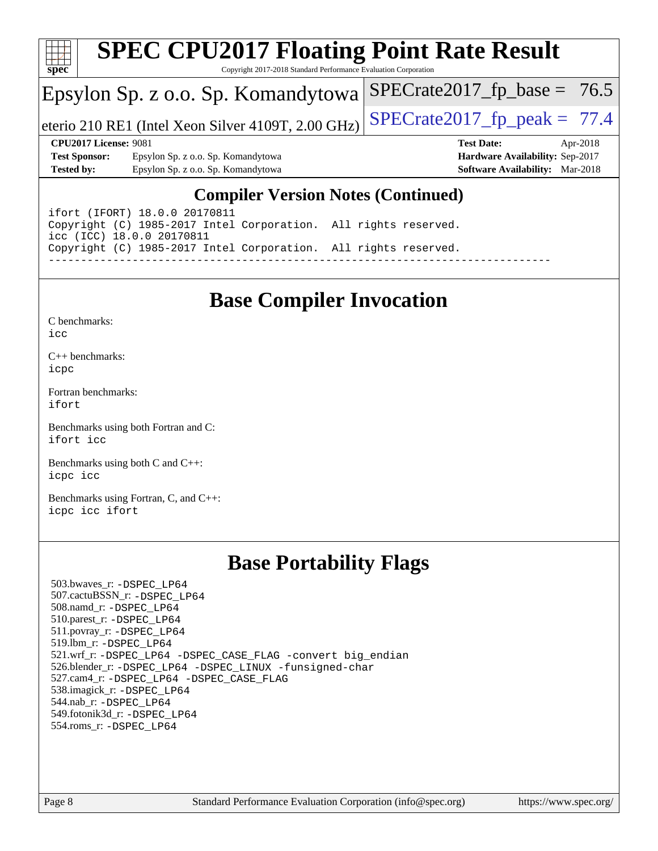

# **[SPEC CPU2017 Floating Point Rate Result](http://www.spec.org/auto/cpu2017/Docs/result-fields.html#SPECCPU2017FloatingPointRateResult)**

Copyright 2017-2018 Standard Performance Evaluation Corporation

## Epsylon Sp. z o.o. Sp. Komandytowa

eterio 210 RE1 (Intel Xeon Silver 4109T, 2.00 GHz)  $\left|$  SPECrate 2017 fp peak = 77.4

 $SPECTate2017_fp\_base = 76.5$ 

**[Test Sponsor:](http://www.spec.org/auto/cpu2017/Docs/result-fields.html#TestSponsor)** Epsylon Sp. z o.o. Sp. Komandytowa **[Hardware Availability:](http://www.spec.org/auto/cpu2017/Docs/result-fields.html#HardwareAvailability)** Sep-2017 **[Tested by:](http://www.spec.org/auto/cpu2017/Docs/result-fields.html#Testedby)** Epsylon Sp. z o.o. Sp. Komandytowa **[Software Availability:](http://www.spec.org/auto/cpu2017/Docs/result-fields.html#SoftwareAvailability)** Mar-2018

**[CPU2017 License:](http://www.spec.org/auto/cpu2017/Docs/result-fields.html#CPU2017License)** 9081 **[Test Date:](http://www.spec.org/auto/cpu2017/Docs/result-fields.html#TestDate)** Apr-2018

### **[Compiler Version Notes \(Continued\)](http://www.spec.org/auto/cpu2017/Docs/result-fields.html#CompilerVersionNotes)**

ifort (IFORT) 18.0.0 20170811 Copyright (C) 1985-2017 Intel Corporation. All rights reserved. icc (ICC) 18.0.0 20170811 Copyright (C) 1985-2017 Intel Corporation. All rights reserved. ------------------------------------------------------------------------------

# **[Base Compiler Invocation](http://www.spec.org/auto/cpu2017/Docs/result-fields.html#BaseCompilerInvocation)**

| C benchmarks: |  |
|---------------|--|
| icc           |  |

[C++ benchmarks:](http://www.spec.org/auto/cpu2017/Docs/result-fields.html#CXXbenchmarks) [icpc](http://www.spec.org/cpu2017/results/res2018q2/cpu2017-20180416-04908.flags.html#user_CXXbase_intel_icpc_18.0_c510b6838c7f56d33e37e94d029a35b4a7bccf4766a728ee175e80a419847e808290a9b78be685c44ab727ea267ec2f070ec5dc83b407c0218cded6866a35d07)

[Fortran benchmarks](http://www.spec.org/auto/cpu2017/Docs/result-fields.html#Fortranbenchmarks): [ifort](http://www.spec.org/cpu2017/results/res2018q2/cpu2017-20180416-04908.flags.html#user_FCbase_intel_ifort_18.0_8111460550e3ca792625aed983ce982f94888b8b503583aa7ba2b8303487b4d8a21a13e7191a45c5fd58ff318f48f9492884d4413fa793fd88dd292cad7027ca)

[Benchmarks using both Fortran and C](http://www.spec.org/auto/cpu2017/Docs/result-fields.html#BenchmarksusingbothFortranandC): [ifort](http://www.spec.org/cpu2017/results/res2018q2/cpu2017-20180416-04908.flags.html#user_CC_FCbase_intel_ifort_18.0_8111460550e3ca792625aed983ce982f94888b8b503583aa7ba2b8303487b4d8a21a13e7191a45c5fd58ff318f48f9492884d4413fa793fd88dd292cad7027ca) [icc](http://www.spec.org/cpu2017/results/res2018q2/cpu2017-20180416-04908.flags.html#user_CC_FCbase_intel_icc_18.0_66fc1ee009f7361af1fbd72ca7dcefbb700085f36577c54f309893dd4ec40d12360134090235512931783d35fd58c0460139e722d5067c5574d8eaf2b3e37e92)

[Benchmarks using both C and C++](http://www.spec.org/auto/cpu2017/Docs/result-fields.html#BenchmarksusingbothCandCXX): [icpc](http://www.spec.org/cpu2017/results/res2018q2/cpu2017-20180416-04908.flags.html#user_CC_CXXbase_intel_icpc_18.0_c510b6838c7f56d33e37e94d029a35b4a7bccf4766a728ee175e80a419847e808290a9b78be685c44ab727ea267ec2f070ec5dc83b407c0218cded6866a35d07) [icc](http://www.spec.org/cpu2017/results/res2018q2/cpu2017-20180416-04908.flags.html#user_CC_CXXbase_intel_icc_18.0_66fc1ee009f7361af1fbd72ca7dcefbb700085f36577c54f309893dd4ec40d12360134090235512931783d35fd58c0460139e722d5067c5574d8eaf2b3e37e92)

[Benchmarks using Fortran, C, and C++:](http://www.spec.org/auto/cpu2017/Docs/result-fields.html#BenchmarksusingFortranCandCXX) [icpc](http://www.spec.org/cpu2017/results/res2018q2/cpu2017-20180416-04908.flags.html#user_CC_CXX_FCbase_intel_icpc_18.0_c510b6838c7f56d33e37e94d029a35b4a7bccf4766a728ee175e80a419847e808290a9b78be685c44ab727ea267ec2f070ec5dc83b407c0218cded6866a35d07) [icc](http://www.spec.org/cpu2017/results/res2018q2/cpu2017-20180416-04908.flags.html#user_CC_CXX_FCbase_intel_icc_18.0_66fc1ee009f7361af1fbd72ca7dcefbb700085f36577c54f309893dd4ec40d12360134090235512931783d35fd58c0460139e722d5067c5574d8eaf2b3e37e92) [ifort](http://www.spec.org/cpu2017/results/res2018q2/cpu2017-20180416-04908.flags.html#user_CC_CXX_FCbase_intel_ifort_18.0_8111460550e3ca792625aed983ce982f94888b8b503583aa7ba2b8303487b4d8a21a13e7191a45c5fd58ff318f48f9492884d4413fa793fd88dd292cad7027ca)

## **[Base Portability Flags](http://www.spec.org/auto/cpu2017/Docs/result-fields.html#BasePortabilityFlags)**

 503.bwaves\_r: [-DSPEC\\_LP64](http://www.spec.org/cpu2017/results/res2018q2/cpu2017-20180416-04908.flags.html#suite_basePORTABILITY503_bwaves_r_DSPEC_LP64) 507.cactuBSSN\_r: [-DSPEC\\_LP64](http://www.spec.org/cpu2017/results/res2018q2/cpu2017-20180416-04908.flags.html#suite_basePORTABILITY507_cactuBSSN_r_DSPEC_LP64) 508.namd\_r: [-DSPEC\\_LP64](http://www.spec.org/cpu2017/results/res2018q2/cpu2017-20180416-04908.flags.html#suite_basePORTABILITY508_namd_r_DSPEC_LP64) 510.parest\_r: [-DSPEC\\_LP64](http://www.spec.org/cpu2017/results/res2018q2/cpu2017-20180416-04908.flags.html#suite_basePORTABILITY510_parest_r_DSPEC_LP64) 511.povray\_r: [-DSPEC\\_LP64](http://www.spec.org/cpu2017/results/res2018q2/cpu2017-20180416-04908.flags.html#suite_basePORTABILITY511_povray_r_DSPEC_LP64) 519.lbm\_r: [-DSPEC\\_LP64](http://www.spec.org/cpu2017/results/res2018q2/cpu2017-20180416-04908.flags.html#suite_basePORTABILITY519_lbm_r_DSPEC_LP64) 521.wrf\_r: [-DSPEC\\_LP64](http://www.spec.org/cpu2017/results/res2018q2/cpu2017-20180416-04908.flags.html#suite_basePORTABILITY521_wrf_r_DSPEC_LP64) [-DSPEC\\_CASE\\_FLAG](http://www.spec.org/cpu2017/results/res2018q2/cpu2017-20180416-04908.flags.html#b521.wrf_r_baseCPORTABILITY_DSPEC_CASE_FLAG) [-convert big\\_endian](http://www.spec.org/cpu2017/results/res2018q2/cpu2017-20180416-04908.flags.html#user_baseFPORTABILITY521_wrf_r_convert_big_endian_c3194028bc08c63ac5d04de18c48ce6d347e4e562e8892b8bdbdc0214820426deb8554edfa529a3fb25a586e65a3d812c835984020483e7e73212c4d31a38223) 526.blender\_r: [-DSPEC\\_LP64](http://www.spec.org/cpu2017/results/res2018q2/cpu2017-20180416-04908.flags.html#suite_basePORTABILITY526_blender_r_DSPEC_LP64) [-DSPEC\\_LINUX](http://www.spec.org/cpu2017/results/res2018q2/cpu2017-20180416-04908.flags.html#b526.blender_r_baseCPORTABILITY_DSPEC_LINUX) [-funsigned-char](http://www.spec.org/cpu2017/results/res2018q2/cpu2017-20180416-04908.flags.html#user_baseCPORTABILITY526_blender_r_force_uchar_40c60f00ab013830e2dd6774aeded3ff59883ba5a1fc5fc14077f794d777847726e2a5858cbc7672e36e1b067e7e5c1d9a74f7176df07886a243d7cc18edfe67) 527.cam4\_r: [-DSPEC\\_LP64](http://www.spec.org/cpu2017/results/res2018q2/cpu2017-20180416-04908.flags.html#suite_basePORTABILITY527_cam4_r_DSPEC_LP64) [-DSPEC\\_CASE\\_FLAG](http://www.spec.org/cpu2017/results/res2018q2/cpu2017-20180416-04908.flags.html#b527.cam4_r_baseCPORTABILITY_DSPEC_CASE_FLAG) 538.imagick\_r: [-DSPEC\\_LP64](http://www.spec.org/cpu2017/results/res2018q2/cpu2017-20180416-04908.flags.html#suite_basePORTABILITY538_imagick_r_DSPEC_LP64) 544.nab\_r: [-DSPEC\\_LP64](http://www.spec.org/cpu2017/results/res2018q2/cpu2017-20180416-04908.flags.html#suite_basePORTABILITY544_nab_r_DSPEC_LP64) 549.fotonik3d\_r: [-DSPEC\\_LP64](http://www.spec.org/cpu2017/results/res2018q2/cpu2017-20180416-04908.flags.html#suite_basePORTABILITY549_fotonik3d_r_DSPEC_LP64) 554.roms\_r: [-DSPEC\\_LP64](http://www.spec.org/cpu2017/results/res2018q2/cpu2017-20180416-04908.flags.html#suite_basePORTABILITY554_roms_r_DSPEC_LP64)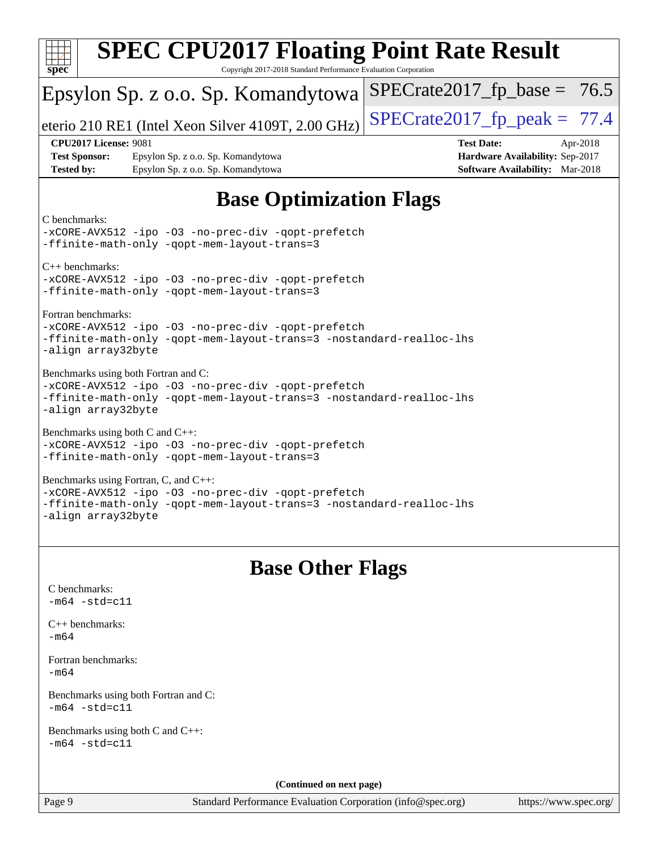| <b>SPEC CPU2017 Floating Point Rate Result</b><br>Copyright 2017-2018 Standard Performance Evaluation Corporation<br>$spec^*$                                                            |                                                                                                     |
|------------------------------------------------------------------------------------------------------------------------------------------------------------------------------------------|-----------------------------------------------------------------------------------------------------|
| Epsylon Sp. z o.o. Sp. Komandytowa                                                                                                                                                       | $SPECrate2017_fp\_base = 76.5$                                                                      |
| eterio 210 RE1 (Intel Xeon Silver 4109T, 2.00 GHz)                                                                                                                                       | $SPECrate2017_fp\_peak = 77.4$                                                                      |
| <b>CPU2017 License: 9081</b><br><b>Test Sponsor:</b><br>Epsylon Sp. z o.o. Sp. Komandytowa<br><b>Tested by:</b><br>Epsylon Sp. z o.o. Sp. Komandytowa                                    | <b>Test Date:</b><br>Apr-2018<br>Hardware Availability: Sep-2017<br>Software Availability: Mar-2018 |
| <b>Base Optimization Flags</b>                                                                                                                                                           |                                                                                                     |
| C benchmarks:<br>-xCORE-AVX512 -ipo -03 -no-prec-div -qopt-prefetch<br>-ffinite-math-only -gopt-mem-layout-trans=3                                                                       |                                                                                                     |
| $C++$ benchmarks:<br>-xCORE-AVX512 -ipo -03 -no-prec-div -qopt-prefetch<br>-ffinite-math-only -qopt-mem-layout-trans=3                                                                   |                                                                                                     |
| Fortran benchmarks:<br>-xCORE-AVX512 -ipo -03 -no-prec-div -qopt-prefetch<br>-ffinite-math-only -qopt-mem-layout-trans=3 -nostandard-realloc-lhs<br>-align array32byte                   |                                                                                                     |
| Benchmarks using both Fortran and C:<br>-xCORE-AVX512 -ipo -03 -no-prec-div -qopt-prefetch<br>-ffinite-math-only -qopt-mem-layout-trans=3 -nostandard-realloc-lhs<br>-align array32byte  |                                                                                                     |
| Benchmarks using both C and C++:<br>-xCORE-AVX512 -ipo -03 -no-prec-div -qopt-prefetch<br>-ffinite-math-only -qopt-mem-layout-trans=3                                                    |                                                                                                     |
| Benchmarks using Fortran, C, and C++:<br>-xCORE-AVX512 -ipo -03 -no-prec-div -qopt-prefetch<br>-ffinite-math-only -qopt-mem-layout-trans=3 -nostandard-realloc-lhs<br>-align array32byte |                                                                                                     |
|                                                                                                                                                                                          |                                                                                                     |
| <b>Base Other Flags</b><br>C benchmarks:<br>$-m64 - std= c11$                                                                                                                            |                                                                                                     |
| $C_{++}$ benchmarks:<br>$-m64$                                                                                                                                                           |                                                                                                     |
| Fortran benchmarks:<br>$-m64$                                                                                                                                                            |                                                                                                     |
| Benchmarks using both Fortran and C:<br>$-m64 - std= c11$                                                                                                                                |                                                                                                     |
| Benchmarks using both C and C++:<br>$-m64 - std= c11$                                                                                                                                    |                                                                                                     |
| (Continued on next page)                                                                                                                                                                 |                                                                                                     |
| Page 9<br>Standard Performance Evaluation Corporation (info@spec.org)                                                                                                                    | https://www.spec.org/                                                                               |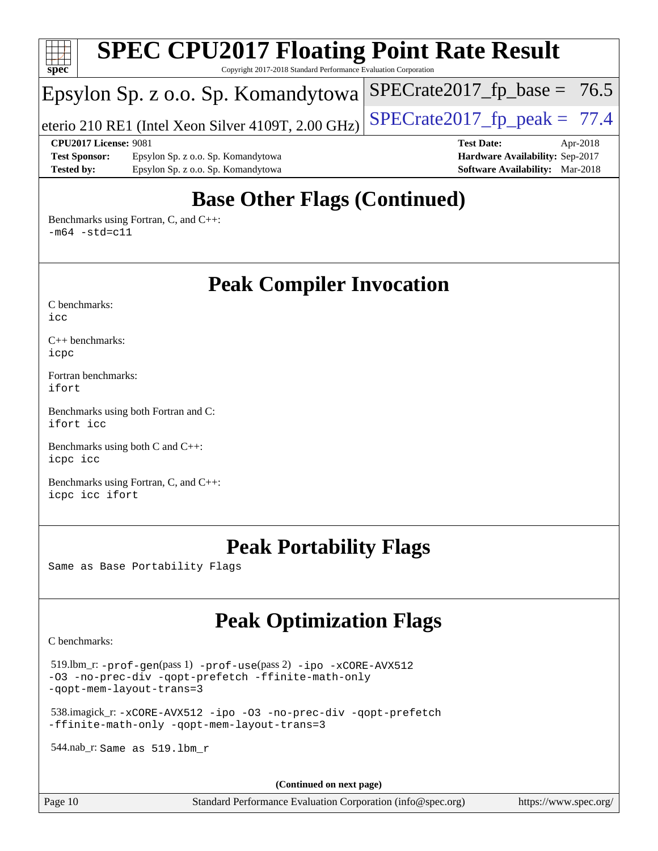

# **[Base Other Flags \(Continued\)](http://www.spec.org/auto/cpu2017/Docs/result-fields.html#BaseOtherFlags)**

[Benchmarks using Fortran, C, and C++:](http://www.spec.org/auto/cpu2017/Docs/result-fields.html#BenchmarksusingFortranCandCXX)  $-m64$   $-std=cl1$ 

**[Peak Compiler Invocation](http://www.spec.org/auto/cpu2017/Docs/result-fields.html#PeakCompilerInvocation)**

[C benchmarks](http://www.spec.org/auto/cpu2017/Docs/result-fields.html#Cbenchmarks):  $i$ cc

[C++ benchmarks:](http://www.spec.org/auto/cpu2017/Docs/result-fields.html#CXXbenchmarks) [icpc](http://www.spec.org/cpu2017/results/res2018q2/cpu2017-20180416-04908.flags.html#user_CXXpeak_intel_icpc_18.0_c510b6838c7f56d33e37e94d029a35b4a7bccf4766a728ee175e80a419847e808290a9b78be685c44ab727ea267ec2f070ec5dc83b407c0218cded6866a35d07)

[Fortran benchmarks](http://www.spec.org/auto/cpu2017/Docs/result-fields.html#Fortranbenchmarks): [ifort](http://www.spec.org/cpu2017/results/res2018q2/cpu2017-20180416-04908.flags.html#user_FCpeak_intel_ifort_18.0_8111460550e3ca792625aed983ce982f94888b8b503583aa7ba2b8303487b4d8a21a13e7191a45c5fd58ff318f48f9492884d4413fa793fd88dd292cad7027ca)

[Benchmarks using both Fortran and C](http://www.spec.org/auto/cpu2017/Docs/result-fields.html#BenchmarksusingbothFortranandC): [ifort](http://www.spec.org/cpu2017/results/res2018q2/cpu2017-20180416-04908.flags.html#user_CC_FCpeak_intel_ifort_18.0_8111460550e3ca792625aed983ce982f94888b8b503583aa7ba2b8303487b4d8a21a13e7191a45c5fd58ff318f48f9492884d4413fa793fd88dd292cad7027ca) [icc](http://www.spec.org/cpu2017/results/res2018q2/cpu2017-20180416-04908.flags.html#user_CC_FCpeak_intel_icc_18.0_66fc1ee009f7361af1fbd72ca7dcefbb700085f36577c54f309893dd4ec40d12360134090235512931783d35fd58c0460139e722d5067c5574d8eaf2b3e37e92)

[Benchmarks using both C and C++](http://www.spec.org/auto/cpu2017/Docs/result-fields.html#BenchmarksusingbothCandCXX): [icpc](http://www.spec.org/cpu2017/results/res2018q2/cpu2017-20180416-04908.flags.html#user_CC_CXXpeak_intel_icpc_18.0_c510b6838c7f56d33e37e94d029a35b4a7bccf4766a728ee175e80a419847e808290a9b78be685c44ab727ea267ec2f070ec5dc83b407c0218cded6866a35d07) [icc](http://www.spec.org/cpu2017/results/res2018q2/cpu2017-20180416-04908.flags.html#user_CC_CXXpeak_intel_icc_18.0_66fc1ee009f7361af1fbd72ca7dcefbb700085f36577c54f309893dd4ec40d12360134090235512931783d35fd58c0460139e722d5067c5574d8eaf2b3e37e92)

[Benchmarks using Fortran, C, and C++:](http://www.spec.org/auto/cpu2017/Docs/result-fields.html#BenchmarksusingFortranCandCXX) [icpc](http://www.spec.org/cpu2017/results/res2018q2/cpu2017-20180416-04908.flags.html#user_CC_CXX_FCpeak_intel_icpc_18.0_c510b6838c7f56d33e37e94d029a35b4a7bccf4766a728ee175e80a419847e808290a9b78be685c44ab727ea267ec2f070ec5dc83b407c0218cded6866a35d07) [icc](http://www.spec.org/cpu2017/results/res2018q2/cpu2017-20180416-04908.flags.html#user_CC_CXX_FCpeak_intel_icc_18.0_66fc1ee009f7361af1fbd72ca7dcefbb700085f36577c54f309893dd4ec40d12360134090235512931783d35fd58c0460139e722d5067c5574d8eaf2b3e37e92) [ifort](http://www.spec.org/cpu2017/results/res2018q2/cpu2017-20180416-04908.flags.html#user_CC_CXX_FCpeak_intel_ifort_18.0_8111460550e3ca792625aed983ce982f94888b8b503583aa7ba2b8303487b4d8a21a13e7191a45c5fd58ff318f48f9492884d4413fa793fd88dd292cad7027ca)

## **[Peak Portability Flags](http://www.spec.org/auto/cpu2017/Docs/result-fields.html#PeakPortabilityFlags)**

Same as Base Portability Flags

# **[Peak Optimization Flags](http://www.spec.org/auto/cpu2017/Docs/result-fields.html#PeakOptimizationFlags)**

[C benchmarks](http://www.spec.org/auto/cpu2017/Docs/result-fields.html#Cbenchmarks):

 519.lbm\_r: [-prof-gen](http://www.spec.org/cpu2017/results/res2018q2/cpu2017-20180416-04908.flags.html#user_peakPASS1_CFLAGSPASS1_LDFLAGS519_lbm_r_prof_gen_5aa4926d6013ddb2a31985c654b3eb18169fc0c6952a63635c234f711e6e63dd76e94ad52365559451ec499a2cdb89e4dc58ba4c67ef54ca681ffbe1461d6b36)(pass 1) [-prof-use](http://www.spec.org/cpu2017/results/res2018q2/cpu2017-20180416-04908.flags.html#user_peakPASS2_CFLAGSPASS2_LDFLAGS519_lbm_r_prof_use_1a21ceae95f36a2b53c25747139a6c16ca95bd9def2a207b4f0849963b97e94f5260e30a0c64f4bb623698870e679ca08317ef8150905d41bd88c6f78df73f19)(pass 2) [-ipo](http://www.spec.org/cpu2017/results/res2018q2/cpu2017-20180416-04908.flags.html#user_peakPASS1_COPTIMIZEPASS2_COPTIMIZE519_lbm_r_f-ipo) [-xCORE-AVX512](http://www.spec.org/cpu2017/results/res2018q2/cpu2017-20180416-04908.flags.html#user_peakPASS2_COPTIMIZE519_lbm_r_f-xCORE-AVX512) [-O3](http://www.spec.org/cpu2017/results/res2018q2/cpu2017-20180416-04908.flags.html#user_peakPASS1_COPTIMIZEPASS2_COPTIMIZE519_lbm_r_f-O3) [-no-prec-div](http://www.spec.org/cpu2017/results/res2018q2/cpu2017-20180416-04908.flags.html#user_peakPASS1_COPTIMIZEPASS2_COPTIMIZE519_lbm_r_f-no-prec-div) [-qopt-prefetch](http://www.spec.org/cpu2017/results/res2018q2/cpu2017-20180416-04908.flags.html#user_peakPASS1_COPTIMIZEPASS2_COPTIMIZE519_lbm_r_f-qopt-prefetch) [-ffinite-math-only](http://www.spec.org/cpu2017/results/res2018q2/cpu2017-20180416-04908.flags.html#user_peakPASS1_COPTIMIZEPASS2_COPTIMIZE519_lbm_r_f_finite_math_only_cb91587bd2077682c4b38af759c288ed7c732db004271a9512da14a4f8007909a5f1427ecbf1a0fb78ff2a814402c6114ac565ca162485bbcae155b5e4258871) [-qopt-mem-layout-trans=3](http://www.spec.org/cpu2017/results/res2018q2/cpu2017-20180416-04908.flags.html#user_peakPASS1_COPTIMIZEPASS2_COPTIMIZE519_lbm_r_f-qopt-mem-layout-trans_de80db37974c74b1f0e20d883f0b675c88c3b01e9d123adea9b28688d64333345fb62bc4a798493513fdb68f60282f9a726aa07f478b2f7113531aecce732043)

 538.imagick\_r: [-xCORE-AVX512](http://www.spec.org/cpu2017/results/res2018q2/cpu2017-20180416-04908.flags.html#user_peakCOPTIMIZE538_imagick_r_f-xCORE-AVX512) [-ipo](http://www.spec.org/cpu2017/results/res2018q2/cpu2017-20180416-04908.flags.html#user_peakCOPTIMIZE538_imagick_r_f-ipo) [-O3](http://www.spec.org/cpu2017/results/res2018q2/cpu2017-20180416-04908.flags.html#user_peakCOPTIMIZE538_imagick_r_f-O3) [-no-prec-div](http://www.spec.org/cpu2017/results/res2018q2/cpu2017-20180416-04908.flags.html#user_peakCOPTIMIZE538_imagick_r_f-no-prec-div) [-qopt-prefetch](http://www.spec.org/cpu2017/results/res2018q2/cpu2017-20180416-04908.flags.html#user_peakCOPTIMIZE538_imagick_r_f-qopt-prefetch) [-ffinite-math-only](http://www.spec.org/cpu2017/results/res2018q2/cpu2017-20180416-04908.flags.html#user_peakCOPTIMIZE538_imagick_r_f_finite_math_only_cb91587bd2077682c4b38af759c288ed7c732db004271a9512da14a4f8007909a5f1427ecbf1a0fb78ff2a814402c6114ac565ca162485bbcae155b5e4258871) [-qopt-mem-layout-trans=3](http://www.spec.org/cpu2017/results/res2018q2/cpu2017-20180416-04908.flags.html#user_peakCOPTIMIZE538_imagick_r_f-qopt-mem-layout-trans_de80db37974c74b1f0e20d883f0b675c88c3b01e9d123adea9b28688d64333345fb62bc4a798493513fdb68f60282f9a726aa07f478b2f7113531aecce732043)

544.nab\_r: Same as 519.lbm\_r

**(Continued on next page)**

Page 10 Standard Performance Evaluation Corporation [\(info@spec.org\)](mailto:info@spec.org) <https://www.spec.org/>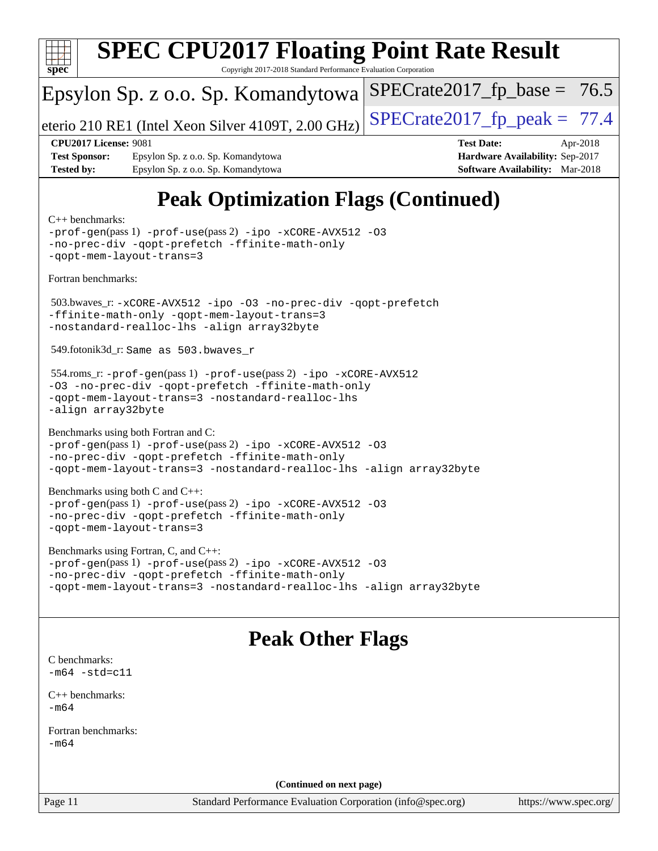![](_page_10_Picture_0.jpeg)

| $-prof-qen(pass 1) -prof-use(pass 2) -ipo -xCORE-AVX512 -03$        |  |
|---------------------------------------------------------------------|--|
| -no-prec-div -qopt-prefetch -ffinite-math-only                      |  |
| -gopt-mem-layout-trans=3 -nostandard-realloc-lhs -align array32byte |  |

# **[Peak Other Flags](http://www.spec.org/auto/cpu2017/Docs/result-fields.html#PeakOtherFlags)**

[C benchmarks](http://www.spec.org/auto/cpu2017/Docs/result-fields.html#Cbenchmarks):  $-m64$   $-std=cl1$ 

[C++ benchmarks:](http://www.spec.org/auto/cpu2017/Docs/result-fields.html#CXXbenchmarks) [-m64](http://www.spec.org/cpu2017/results/res2018q2/cpu2017-20180416-04908.flags.html#user_CXXpeak_intel_intel64_18.0_af43caccfc8ded86e7699f2159af6efc7655f51387b94da716254467f3c01020a5059329e2569e4053f409e7c9202a7efc638f7a6d1ffb3f52dea4a3e31d82ab)

[Fortran benchmarks](http://www.spec.org/auto/cpu2017/Docs/result-fields.html#Fortranbenchmarks): [-m64](http://www.spec.org/cpu2017/results/res2018q2/cpu2017-20180416-04908.flags.html#user_FCpeak_intel_intel64_18.0_af43caccfc8ded86e7699f2159af6efc7655f51387b94da716254467f3c01020a5059329e2569e4053f409e7c9202a7efc638f7a6d1ffb3f52dea4a3e31d82ab)

**(Continued on next page)**

Page 11 Standard Performance Evaluation Corporation [\(info@spec.org\)](mailto:info@spec.org) <https://www.spec.org/>